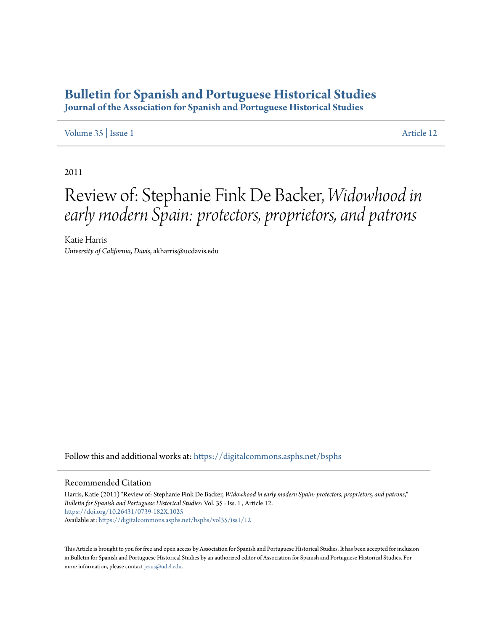## **[Bulletin for Spanish and Portuguese Historical Studies](https://digitalcommons.asphs.net/bsphs?utm_source=digitalcommons.asphs.net%2Fbsphs%2Fvol35%2Fiss1%2F12&utm_medium=PDF&utm_campaign=PDFCoverPages)**

**Journal of the Association for Spanish and Portuguese Historical Studies**

## [Volume 35](https://digitalcommons.asphs.net/bsphs/vol35?utm_source=digitalcommons.asphs.net%2Fbsphs%2Fvol35%2Fiss1%2F12&utm_medium=PDF&utm_campaign=PDFCoverPages) | [Issue 1](https://digitalcommons.asphs.net/bsphs/vol35/iss1?utm_source=digitalcommons.asphs.net%2Fbsphs%2Fvol35%2Fiss1%2F12&utm_medium=PDF&utm_campaign=PDFCoverPages) [Article 12](https://digitalcommons.asphs.net/bsphs/vol35/iss1/12?utm_source=digitalcommons.asphs.net%2Fbsphs%2Fvol35%2Fiss1%2F12&utm_medium=PDF&utm_campaign=PDFCoverPages)

2011

## Review of: Stephanie Fink De Backer, *Widowhood in early modern Spain: protectors, proprietors, and patrons*

Katie Harris *University of California, Davis*, akharris@ucdavis.edu

Follow this and additional works at: [https://digitalcommons.asphs.net/bsphs](https://digitalcommons.asphs.net/bsphs?utm_source=digitalcommons.asphs.net%2Fbsphs%2Fvol35%2Fiss1%2F12&utm_medium=PDF&utm_campaign=PDFCoverPages)

## Recommended Citation

Harris, Katie (2011) "Review of: Stephanie Fink De Backer, *Widowhood in early modern Spain: protectors, proprietors, and patrons*," *Bulletin for Spanish and Portuguese Historical Studies*: Vol. 35 : Iss. 1 , Article 12. <https://doi.org/10.26431/0739-182X.1025> Available at: [https://digitalcommons.asphs.net/bsphs/vol35/iss1/12](https://digitalcommons.asphs.net/bsphs/vol35/iss1/12?utm_source=digitalcommons.asphs.net%2Fbsphs%2Fvol35%2Fiss1%2F12&utm_medium=PDF&utm_campaign=PDFCoverPages)

This Article is brought to you for free and open access by Association for Spanish and Portuguese Historical Studies. It has been accepted for inclusion in Bulletin for Spanish and Portuguese Historical Studies by an authorized editor of Association for Spanish and Portuguese Historical Studies. For more information, please contact [jesus@udel.edu](mailto:jesus@udel.edu).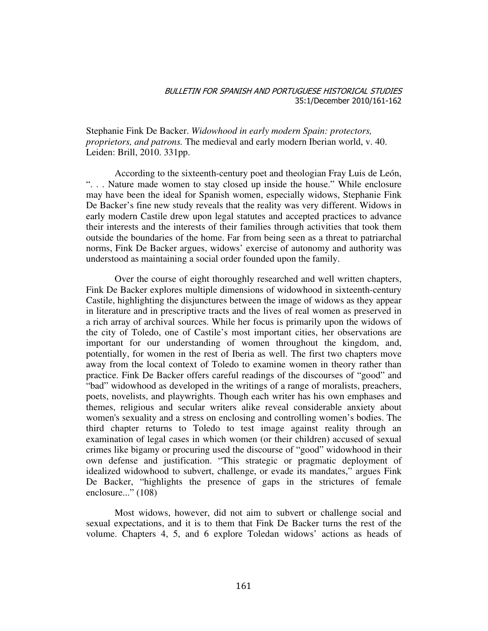Stephanie Fink De Backer. *Widowhood in early modern Spain: protectors, proprietors, and patrons.* The medieval and early modern Iberian world, v. 40. Leiden: Brill, 2010. 331pp.

 According to the sixteenth-century poet and theologian Fray Luis de León, ". . . Nature made women to stay closed up inside the house." While enclosure may have been the ideal for Spanish women, especially widows, Stephanie Fink De Backer's fine new study reveals that the reality was very different. Widows in early modern Castile drew upon legal statutes and accepted practices to advance their interests and the interests of their families through activities that took them outside the boundaries of the home. Far from being seen as a threat to patriarchal norms, Fink De Backer argues, widows' exercise of autonomy and authority was understood as maintaining a social order founded upon the family.

 Over the course of eight thoroughly researched and well written chapters, Fink De Backer explores multiple dimensions of widowhood in sixteenth-century Castile, highlighting the disjunctures between the image of widows as they appear in literature and in prescriptive tracts and the lives of real women as preserved in a rich array of archival sources. While her focus is primarily upon the widows of the city of Toledo, one of Castile's most important cities, her observations are important for our understanding of women throughout the kingdom, and, potentially, for women in the rest of Iberia as well. The first two chapters move away from the local context of Toledo to examine women in theory rather than practice. Fink De Backer offers careful readings of the discourses of "good" and "bad" widowhood as developed in the writings of a range of moralists, preachers, poets, novelists, and playwrights. Though each writer has his own emphases and themes, religious and secular writers alike reveal considerable anxiety about women's sexuality and a stress on enclosing and controlling women's bodies. The third chapter returns to Toledo to test image against reality through an examination of legal cases in which women (or their children) accused of sexual crimes like bigamy or procuring used the discourse of "good" widowhood in their own defense and justification. "This strategic or pragmatic deployment of idealized widowhood to subvert, challenge, or evade its mandates," argues Fink De Backer, "highlights the presence of gaps in the strictures of female enclosure..." (108)

 Most widows, however, did not aim to subvert or challenge social and sexual expectations, and it is to them that Fink De Backer turns the rest of the volume. Chapters 4, 5, and 6 explore Toledan widows' actions as heads of